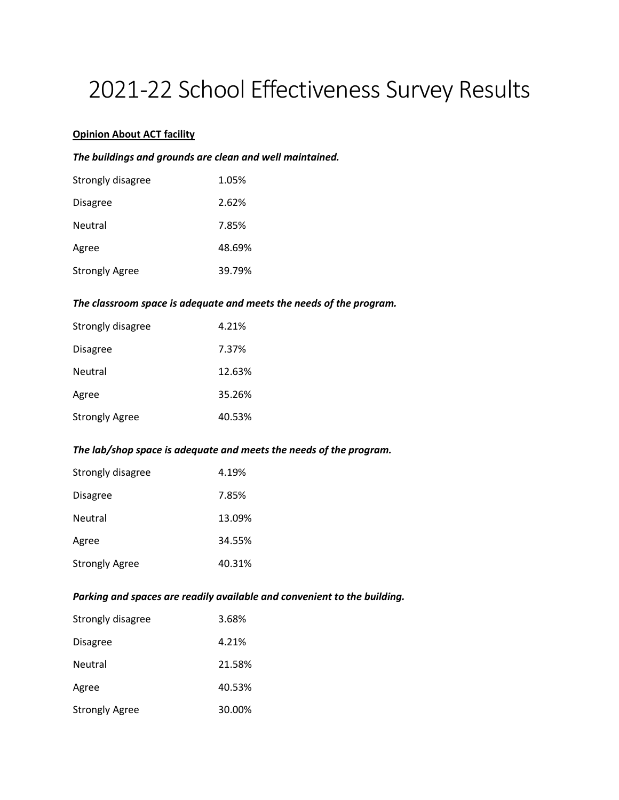# 2021-22 School Effectiveness Survey Results

# **Opinion About ACT facility**

#### *The buildings and grounds are clean and well maintained.*

| Strongly disagree     | 1.05%  |
|-----------------------|--------|
| <b>Disagree</b>       | 2.62%  |
| Neutral               | 7.85%  |
| Agree                 | 48.69% |
| <b>Strongly Agree</b> | 39.79% |

#### *The classroom space is adequate and meets the needs of the program.*

| Strongly disagree     | 4.21%  |
|-----------------------|--------|
| Disagree              | 7.37%  |
| Neutral               | 12.63% |
| Agree                 | 35.26% |
| <b>Strongly Agree</b> | 40.53% |

#### *The lab/shop space is adequate and meets the needs of the program.*

| Strongly disagree | 4.19%  |
|-------------------|--------|
| Disagree          | 7.85%  |
| Neutral           | 13.09% |
| Agree             | 34.55% |
| Strongly Agree    | 40.31% |

# *Parking and spaces are readily available and convenient to the building.*

| Strongly disagree     | 3.68%  |
|-----------------------|--------|
| Disagree              | 4.21%  |
| Neutral               | 21.58% |
| Agree                 | 40.53% |
| <b>Strongly Agree</b> | 30.00% |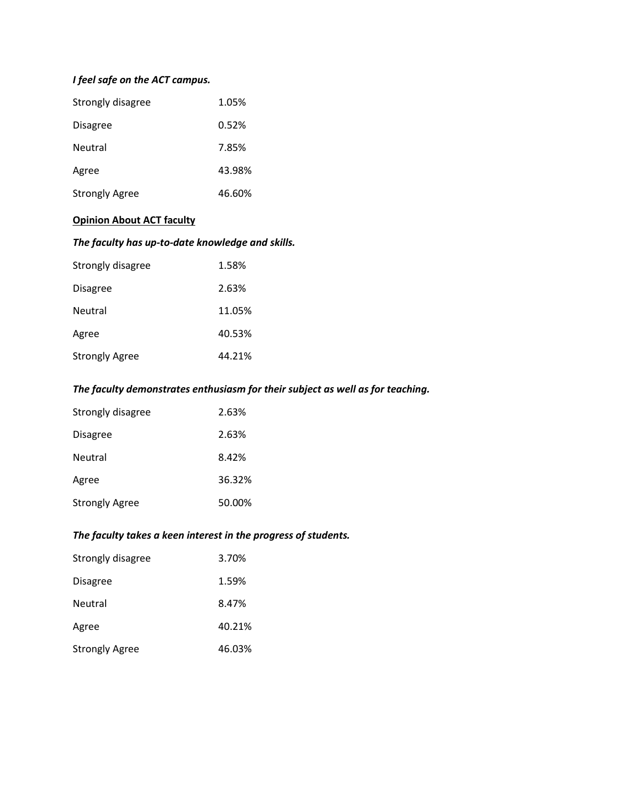# *I feel safe on the ACT campus.*

| Strongly disagree     | 1.05%  |
|-----------------------|--------|
| <b>Disagree</b>       | 0.52%  |
| <b>Neutral</b>        | 7.85%  |
| Agree                 | 43.98% |
| <b>Strongly Agree</b> | 46.60% |

# **Opinion About ACT faculty**

# *The faculty has up-to-date knowledge and skills.*

| Strongly disagree     | 1.58%  |
|-----------------------|--------|
| <b>Disagree</b>       | 2.63%  |
| <b>Neutral</b>        | 11.05% |
| Agree                 | 40.53% |
| <b>Strongly Agree</b> | 44.21% |

#### *The faculty demonstrates enthusiasm for their subject as well as for teaching.*

| Strongly disagree     | 2.63%  |
|-----------------------|--------|
| <b>Disagree</b>       | 2.63%  |
| Neutral               | 8.42%  |
| Agree                 | 36.32% |
| <b>Strongly Agree</b> | 50.00% |

# *The faculty takes a keen interest in the progress of students.*

| Strongly disagree     | 3.70%  |
|-----------------------|--------|
| <b>Disagree</b>       | 1.59%  |
| Neutral               | 8.47%  |
| Agree                 | 40.21% |
| <b>Strongly Agree</b> | 46.03% |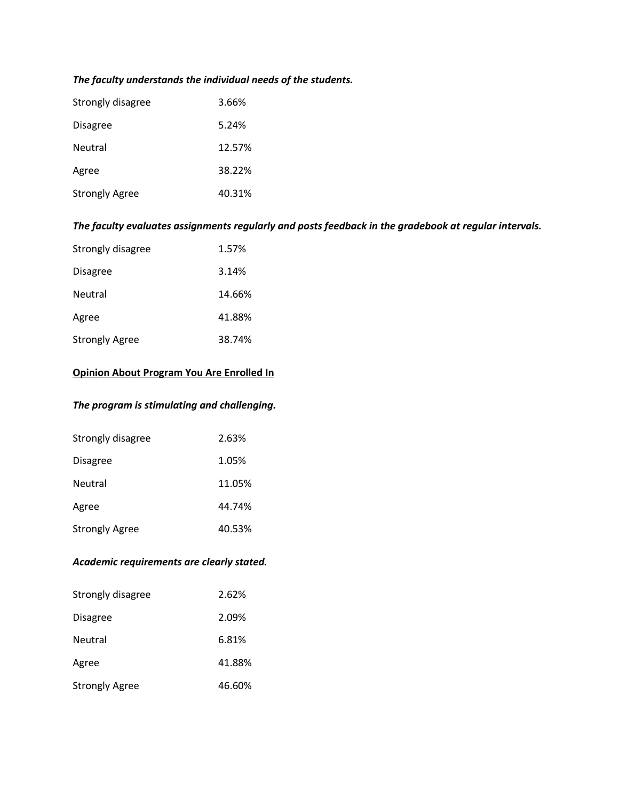# *The faculty understands the individual needs of the students.*

| Strongly disagree     | 3.66%  |
|-----------------------|--------|
| <b>Disagree</b>       | 5.24%  |
| Neutral               | 12.57% |
| Agree                 | 38.22% |
| <b>Strongly Agree</b> | 40.31% |

# *The faculty evaluates assignments regularly and posts feedback in the gradebook at regular intervals.*

| Strongly disagree     | 1.57%  |
|-----------------------|--------|
| Disagree              | 3.14%  |
| Neutral               | 14.66% |
| Agree                 | 41.88% |
| <b>Strongly Agree</b> | 38.74% |

# **Opinion About Program You Are Enrolled In**

### *The program is stimulating and challenging.*

| Strongly disagree     | 2.63%  |
|-----------------------|--------|
| <b>Disagree</b>       | 1.05%  |
| Neutral               | 11.05% |
| Agree                 | 44.74% |
| <b>Strongly Agree</b> | 40.53% |

#### *Academic requirements are clearly stated.*

| Strongly disagree     | 2.62%  |
|-----------------------|--------|
| <b>Disagree</b>       | 2.09%  |
| Neutral               | 6.81%  |
| Agree                 | 41.88% |
| <b>Strongly Agree</b> | 46.60% |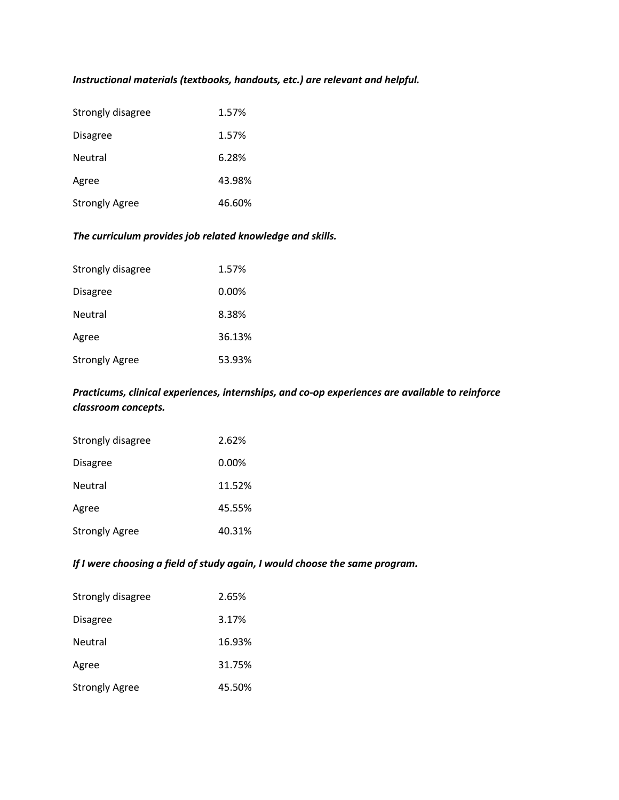# *Instructional materials (textbooks, handouts, etc.) are relevant and helpful.*

| Strongly disagree     | 1.57%  |
|-----------------------|--------|
| <b>Disagree</b>       | 1.57%  |
| Neutral               | 6.28%  |
| Agree                 | 43.98% |
| <b>Strongly Agree</b> | 46.60% |

# *The curriculum provides job related knowledge and skills.*

| Strongly disagree     | 1.57%    |
|-----------------------|----------|
| <b>Disagree</b>       | $0.00\%$ |
| <b>Neutral</b>        | 8.38%    |
| Agree                 | 36.13%   |
| <b>Strongly Agree</b> | 53.93%   |

### *Practicums, clinical experiences, internships, and co-op experiences are available to reinforce classroom concepts.*

| Strongly disagree     | 2.62%    |
|-----------------------|----------|
| <b>Disagree</b>       | $0.00\%$ |
| Neutral               | 11.52%   |
| Agree                 | 45.55%   |
| <b>Strongly Agree</b> | 40.31%   |

# *If I were choosing a field of study again, I would choose the same program.*

| Strongly disagree     | 2.65%  |
|-----------------------|--------|
| <b>Disagree</b>       | 3.17%  |
| Neutral               | 16.93% |
| Agree                 | 31.75% |
| <b>Strongly Agree</b> | 45.50% |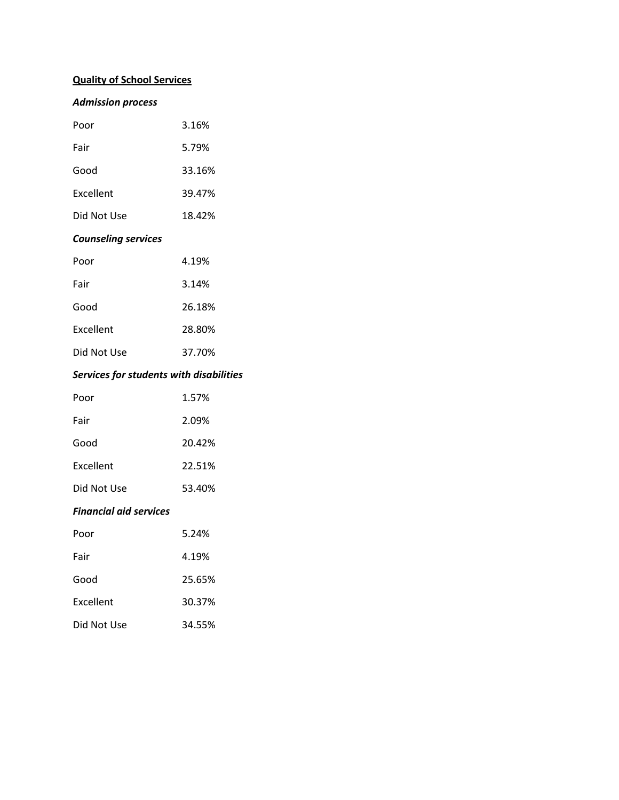# **Quality of School Services**

# *Admission process*

| Poor        | 3.16%  |
|-------------|--------|
| Fair        | 5.79%  |
| Good        | 33.16% |
| Excellent   | 39.47% |
| Did Not Use | 18.42% |

#### *Counseling services*

| Poor        | 4.19%  |
|-------------|--------|
| Fair        | 3.14%  |
| Good        | 26.18% |
| Excellent   | 28.80% |
| Did Not Use | 37.70% |

# *Services for students with disabilities*

| Poor        | 1.57%  |
|-------------|--------|
| Fair        | 2.09%  |
| Good        | 20.42% |
| Excellent   | 22.51% |
| Did Not Use | 53.40% |

#### *Financial aid services*

| Poor        | 5.24%  |
|-------------|--------|
| Fair        | 4.19%  |
| Good        | 25.65% |
| Excellent   | 30.37% |
| Did Not Use | 34.55% |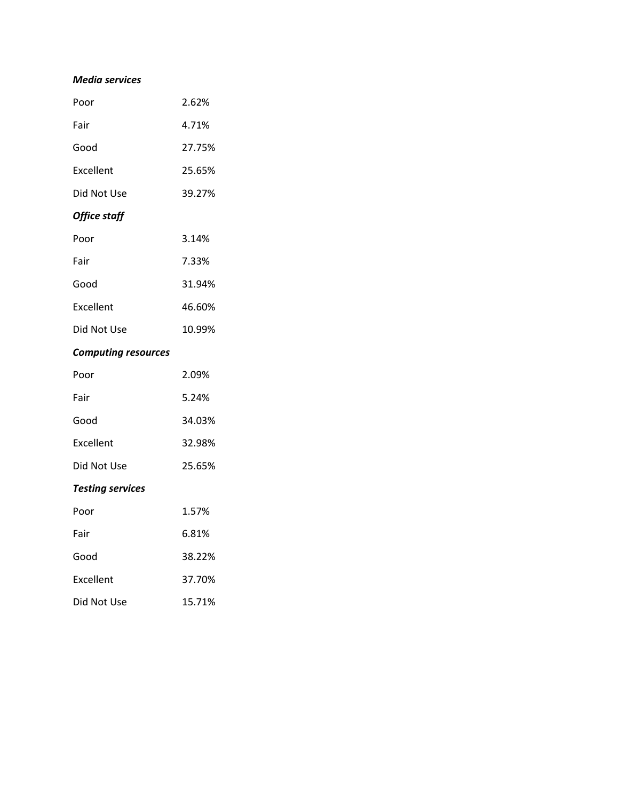#### *Media services*

| Poor                       | 2.62%  |
|----------------------------|--------|
| Fair                       | 4.71%  |
| Good                       | 27.75% |
| Excellent                  | 25.65% |
| Did Not Use                | 39.27% |
| Office staff               |        |
| Poor                       | 3.14%  |
| Fair                       | 7.33%  |
| Good                       | 31.94% |
| Excellent                  | 46.60% |
| Did Not Use                | 10.99% |
| <b>Computing resources</b> |        |
|                            |        |

| <b>Testing services</b> |        |
|-------------------------|--------|
| Did Not Use             | 25.65% |
| Excellent               | 32.98% |
| Good                    | 34.03% |
| Fair                    | 5.24%  |
| Poor                    | 2.09%  |

| Poor        | 1.57%  |
|-------------|--------|
| Fair        | 6.81%  |
| Good        | 38.22% |
| Excellent   | 37.70% |
| Did Not Use | 15.71% |